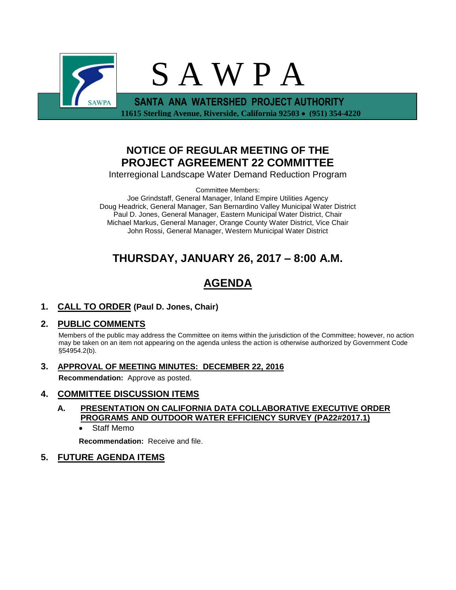

## **NOTICE OF REGULAR MEETING OF THE PROJECT AGREEMENT 22 COMMITTEE**

Interregional Landscape Water Demand Reduction Program

Committee Members:

Joe Grindstaff, General Manager, Inland Empire Utilities Agency Doug Headrick, General Manager, San Bernardino Valley Municipal Water District Paul D. Jones, General Manager, Eastern Municipal Water District, Chair Michael Markus, General Manager, Orange County Water District, Vice Chair John Rossi, General Manager, Western Municipal Water District

## **THURSDAY, JANUARY 26, 2017 – 8:00 A.M.**

# **AGENDA**

**1. CALL TO ORDER (Paul D. Jones, Chair)** 

## **2. PUBLIC COMMENTS**

Members of the public may address the Committee on items within the jurisdiction of the Committee; however, no action may be taken on an item not appearing on the agenda unless the action is otherwise authorized by Government Code §54954.2(b).

**3. APPROVAL OF MEETING MINUTES: DECEMBER 22, 2016**

**Recommendation:** Approve as posted.

### **4. COMMITTEE DISCUSSION ITEMS**

- **A. PRESENTATION ON CALIFORNIA DATA COLLABORATIVE EXECUTIVE ORDER PROGRAMS AND OUTDOOR WATER EFFICIENCY SURVEY (PA22#2017.1)**
	- Staff Memo

**Recommendation:** Receive and file.

### **5. FUTURE AGENDA ITEMS**